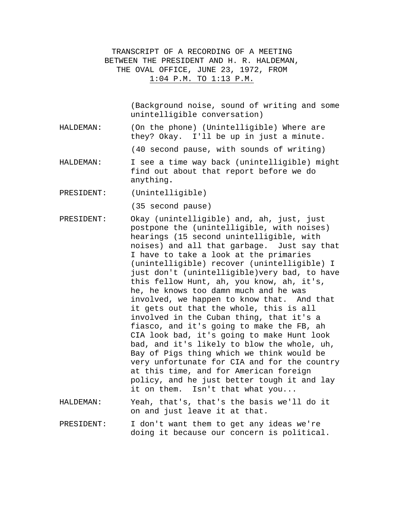TRANSCRIPT OF A RECORDING OF A MEETING BETWEEN THE PRESIDENT AND H. R. HALDEMAN, THE OVAL OFFICE, JUNE 23, 1972, FROM 1:04 P.M. TO 1:13 P.M.

> (Background noise, sound of writing and some unintelligible conversation)

HALDEMAN: (On the phone) (Unintelligible) Where are they? Okay. I'll be up in just a minute.

(40 second pause, with sounds of writing)

- HALDEMAN: I see a time way back (unintelligible) might find out about that report before we do anything**.**
- PRESIDENT: (Unintelligible)

(35 second pause)

- PRESIDENT: Okay (unintelligible) and, ah, just, just postpone the (unintelligible, with noises) hearings (15 second unintelligible, with noises) and all that garbage. Just say that I have to take a look at the primaries (unintelligible) recover (unintelligible) I just don't (unintelligible)very bad, to have this fellow Hunt, ah, you know, ah, it's, he, he knows too damn much and he was involved, we happen to know that. And that it gets out that the whole, this is all involved in the Cuban thing, that it's a fiasco, and it's going to make the FB, ah CIA look bad, it's going to make Hunt look bad, and it's likely to blow the whole, uh, Bay of Pigs thing which we think would be very unfortunate for CIA and for the country at this time, and for American foreign policy, and he just better tough it and lay it on them. Isn't that what you...
- HALDEMAN: Yeah, that's, that's the basis we'll do it on and just leave it at that.
- PRESIDENT: I don't want them to get any ideas we're doing it because our concern is political.